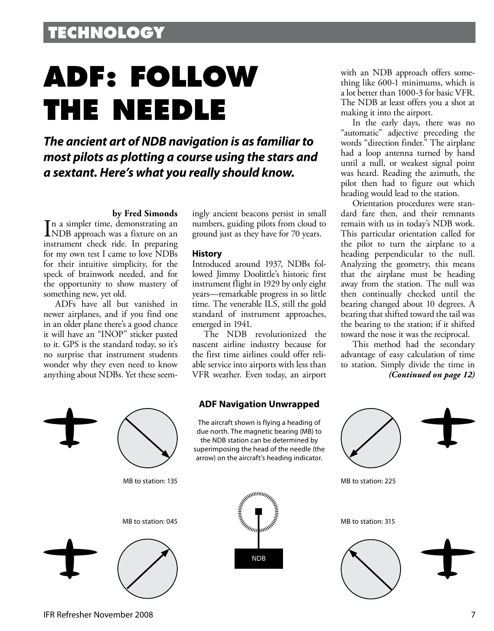# **ADF: FOLLOW THE NEEDLE**

*The ancient art of NDB navigation is as familiar to most pilots as plotting a course using the stars and a sextant. Here's what you really should know.*

#### **by Fred Simonds**

In a simpler time, demonstrating an<br>
NDB approach was a fixture on an NDB approach was a fixture on an instrument check ride. In preparing for my own test I came to love NDBs for their intuitive simplicity, for the speck of brainwork needed, and for the opportunity to show mastery of something new, yet old.

ADFs have all but vanished in newer airplanes, and if you find one in an older plane there's a good chance it will have an "INOP" sticker pasted to it. GPS is the standard today, so it's no surprise that instrument students wonder why they even need to know anything about NDBs. Yet these seemingly ancient beacons persist in small numbers, guiding pilots from cloud to ground just as they have for 70 years.

#### **History**

Introduced around 1937, NDBs followed Jimmy Doolittle's historic first instrument flight in 1929 by only eight years—remarkable progress in so little time. The venerable ILS, still the gold standard of instrument approaches, emerged in 1941.

The NDB revolutionized the nascent airline industry because for the first time airlines could offer reliable service into airports with less than VFR weather. Even today, an airport



with an NDB approach offers something like 600-1 minimums, which is a lot better than 1000-3 for basic VFR. The NDB at least offers you a shot at making it into the airport.

In the early days, there was no "automatic" adjective preceding the words "direction finder." The airplane had a loop antenna turned by hand until a null, or weakest signal point was heard. Reading the azimuth, the pilot then had to figure out which heading would lead to the station.

Orientation procedures were standard fare then, and their remnants remain with us in today's NDB work. This particular orientation called for the pilot to turn the airplane to a heading perpendicular to the null. Analyzing the geometry, this means that the airplane must be heading away from the station. The null was then continually checked until the bearing changed about 10 degrees. A bearing that shifted toward the tail was the bearing to the station; if it shifted toward the nose it was the reciprocal.

This method had the secondary advantage of easy calculation of time to station. Simply divide the time in *(Continued on page 12)*



IFR Refresher November 2008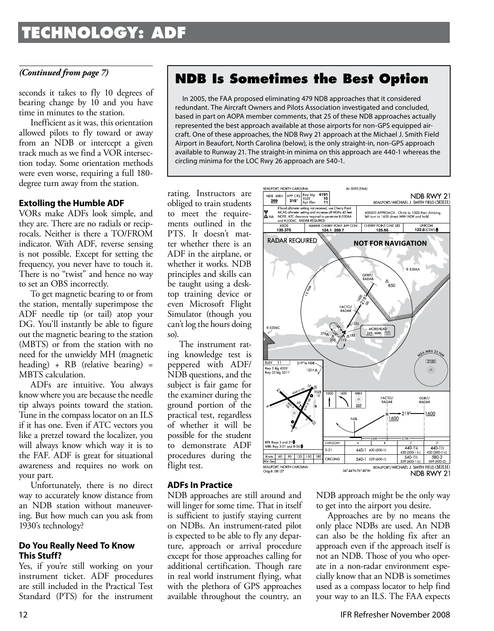### **TECHNOLOGY: ADF**

seconds it takes to fly 10 degrees of bearing change by 10 and you have time in minutes to the station.

Inefficient as it was, this orientation allowed pilots to fly toward or away from an NDB or intercept a given track much as we find a VOR intersection today. Some orientation methods were even worse, requiring a full 180 degree turn away from the station.

### **Extolling the Humble ADF**

VORs make ADFs look simple, and they are. There are no radials or reciprocals. Neither is there a TO/FROM indicator. With ADF, reverse sensing is not possible. Except for setting the frequency, you never have to touch it. There is no "twist" and hence no way to set an OBS incorrectly.

To get magnetic bearing to or from the station, mentally superimpose the ADF needle tip (or tail) atop your DG. You'll instantly be able to figure out the magnetic bearing to the station (MBTS) or from the station with no need for the unwieldy MH (magnetic heading) + RB (relative bearing) = MBTS calculation.

ADFs are intuitive. You always know where you are because the needle tip always points toward the station. Tune in the compass locator on an ILS if it has one. Even if ATC vectors you like a pretzel toward the localizer, you will always know which way it is to the FAF. ADF is great for situational awareness and requires no work on your part.

Unfortunately, there is no direct way to accurately know distance from an NDB station without maneuvering. But how much can you ask from 1930's technology?

#### **Do You Really Need To Know This Stuff?**

Yes, if you're still working on your instrument ticket. ADF procedures are still included in the Practical Test Standard (PTS) for the instrument

### *(Continued from page 7)* **NDB Is Sometimes the Best Option**

In 2005, the FAA proposed eliminating 479 NDB approaches that it considered redundant. The Aircraft Owners and Pilots Association investigated and concluded, based in part on AOPA member comments, that 25 of these NDB approaches actually represented the best approach available at those airports for non-GPS equipped aircraft. One of these approaches, the NDB Rwy 21 approach at the Michael J. Smith Field Airport in Beaufort, North Carolina (below), is the only straight-in, non-GPS approach available to Runway 21. The straight-in minima on this approach are 440-1 whereas the circling minima for the LOC Rwy 26 approach are 540-1.

rating. Instructors are obliged to train students to meet the requirements outlined in the PTS. It doesn't matter whether there is an ADF in the airplane, or whether it works. NDB principles and skills can be taught using a desktop training device or even Microsoft Flight Simulator (though you can't log the hours doing so).

The instrument rating knowledge test is peppered with ADF/ NDB questions, and the subject is fair game for the examiner during the ground portion of the practical test, regardless of whether it will be possible for the student to demonstrate ADF procedures during the flight test.

### **ADFs In Practice**

NDB approaches are still around and will linger for some time. That in itself is sufficient to justify staying current on NDBs. An instrument-rated pilot is expected to be able to fly any departure, approach or arrival procedure except for those approaches calling for additional certification. Though rare in real world instrument flying, what with the plethora of GPS approaches available throughout the country, an



NDB approach might be the only way to get into the airport you desire.

Approaches are by no means the only place NDBs are used. An NDB can also be the holding fix after an approach even if the approach itself is not an NDB. Those of you who operate in a non-radar environment especially know that an NDB is sometimes used as a compass locator to help find your way to an ILS. The FAA expects